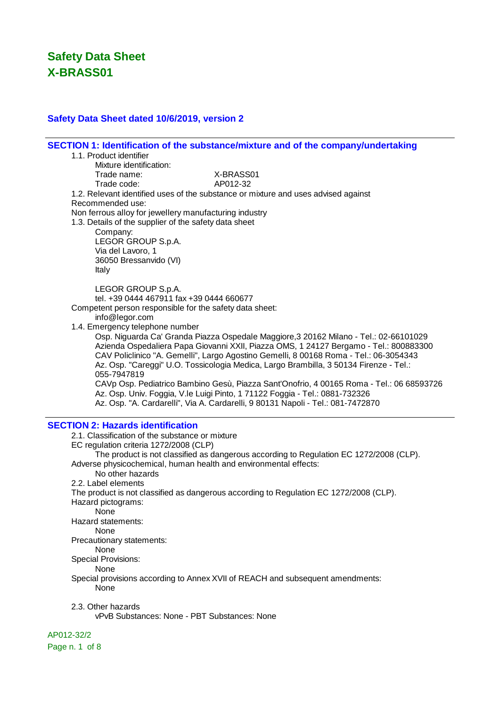### **Safety Data Sheet dated 10/6/2019, version 2**

**SECTION 1: Identification of the substance/mixture and of the company/undertaking** 1.1. Product identifier Mixture identification: Trade name: X-BRASS01 Trade code: AP012-32 1.2. Relevant identified uses of the substance or mixture and uses advised against Recommended use: Non ferrous alloy for jewellery manufacturing industry 1.3. Details of the supplier of the safety data sheet Company: LEGOR GROUP S.p.A. Via del Lavoro, 1 36050 Bressanvido (VI) Italy LEGOR GROUP S.p.A. tel. +39 0444 467911 fax +39 0444 660677 Competent person responsible for the safety data sheet: info@legor.com 1.4. Emergency telephone number Osp. Niguarda Ca' Granda Piazza Ospedale Maggiore,3 20162 Milano - Tel.: 02-66101029 Azienda Ospedaliera Papa Giovanni XXII, Piazza OMS, 1 24127 Bergamo - Tel.: 800883300 CAV Policlinico "A. Gemelli", Largo Agostino Gemelli, 8 00168 Roma - Tel.: 06-3054343 Az. Osp. "Careggi" U.O. Tossicologia Medica, Largo Brambilla, 3 50134 Firenze - Tel.: 055-7947819 CAVp Osp. Pediatrico Bambino Gesù, Piazza Sant'Onofrio, 4 00165 Roma - Tel.: 06 68593726 Az. Osp. Univ. Foggia, V.le Luigi Pinto, 1 71122 Foggia - Tel.: 0881-732326 Az. Osp. "A. Cardarelli", Via A. Cardarelli, 9 80131 Napoli - Tel.: 081-7472870 **SECTION 2: Hazards identification** 2.1. Classification of the substance or mixture EC regulation criteria 1272/2008 (CLP) The product is not classified as dangerous according to Regulation EC 1272/2008 (CLP). Adverse physicochemical, human health and environmental effects: No other hazards 2.2. Label elements The product is not classified as dangerous according to Regulation EC 1272/2008 (CLP). Hazard pictograms: None Hazard statements: None Precautionary statements: None Special Provisions: **None** Special provisions according to Annex XVII of REACH and subsequent amendments: None 2.3. Other hazards vPvB Substances: None - PBT Substances: None

AP012-32/2

Page n. 1 of 8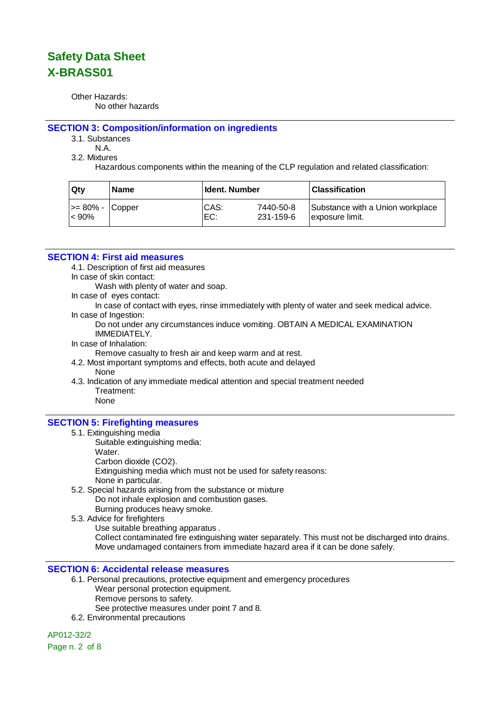Other Hazards: No other hazards

#### **SECTION 3: Composition/information on ingredients**

3.1. Substances

N.A.

3.2. Mixtures

Hazardous components within the meaning of the CLP regulation and related classification:

| ∣Qtv             | <b>Name</b> | <b>Ident. Number</b> |           | <b>Classification</b>            |
|------------------|-------------|----------------------|-----------|----------------------------------|
| >= 80% -  Copper |             | CAS:                 | 7440-50-8 | Substance with a Union workplace |
| $ $ < 90%        |             | EC:                  | 231-159-6 | lexposure limit.                 |

#### **SECTION 4: First aid measures**

4.1. Description of first aid measures

- In case of skin contact:
	- Wash with plenty of water and soap.
- In case of eyes contact:

In case of contact with eyes, rinse immediately with plenty of water and seek medical advice. In case of Ingestion:

Do not under any circumstances induce vomiting. OBTAIN A MEDICAL EXAMINATION IMMEDIATELY.

In case of Inhalation:

Remove casualty to fresh air and keep warm and at rest.

- 4.2. Most important symptoms and effects, both acute and delayed
	- None
- 4.3. Indication of any immediate medical attention and special treatment needed Treatment:

## None

#### **SECTION 5: Firefighting measures**

- 5.1. Extinguishing media
	- Suitable extinguishing media:
		- Water.
		- Carbon dioxide (CO2).

Extinguishing media which must not be used for safety reasons:

- None in particular.
- 5.2. Special hazards arising from the substance or mixture Do not inhale explosion and combustion gases. Burning produces heavy smoke.
- 5.3. Advice for firefighters

Use suitable breathing apparatus . Collect contaminated fire extinguishing water separately. This must not be discharged into drains. Move undamaged containers from immediate hazard area if it can be done safely.

#### **SECTION 6: Accidental release measures**

- 6.1. Personal precautions, protective equipment and emergency procedures Wear personal protection equipment. Remove persons to safety. See protective measures under point 7 and 8.
- 6.2. Environmental precautions

AP012-32/2 Page n. 2 of 8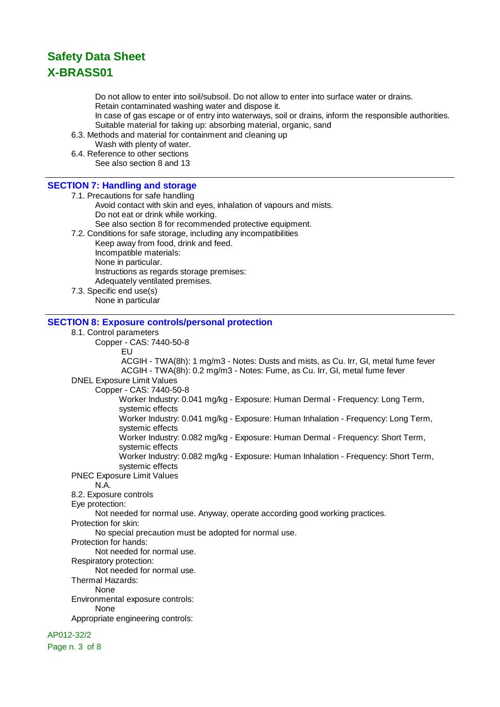Do not allow to enter into soil/subsoil. Do not allow to enter into surface water or drains. Retain contaminated washing water and dispose it.

In case of gas escape or of entry into waterways, soil or drains, inform the responsible authorities. Suitable material for taking up: absorbing material, organic, sand

6.3. Methods and material for containment and cleaning up

Wash with plenty of water.

6.4. Reference to other sections See also section 8 and 13

### **SECTION 7: Handling and storage**

7.1. Precautions for safe handling

- Avoid contact with skin and eyes, inhalation of vapours and mists. Do not eat or drink while working. See also section 8 for recommended protective equipment.
- 7.2. Conditions for safe storage, including any incompatibilities

Keep away from food, drink and feed. Incompatible materials: None in particular. Instructions as regards storage premises: Adequately ventilated premises.

7.3. Specific end use(s) None in particular

### **SECTION 8: Exposure controls/personal protection**

#### 8.1. Control parameters

Copper - CAS: 7440-50-8

EU

 ACGIH - TWA(8h): 1 mg/m3 - Notes: Dusts and mists, as Cu. Irr, GI, metal fume fever ACGIH - TWA(8h): 0.2 mg/m3 - Notes: Fume, as Cu. Irr, GI, metal fume fever

DNEL Exposure Limit Values

Copper - CAS: 7440-50-8

Worker Industry: 0.041 mg/kg - Exposure: Human Dermal - Frequency: Long Term, systemic effects

Worker Industry: 0.041 mg/kg - Exposure: Human Inhalation - Frequency: Long Term, systemic effects

Worker Industry: 0.082 mg/kg - Exposure: Human Dermal - Frequency: Short Term, systemic effects

Worker Industry: 0.082 mg/kg - Exposure: Human Inhalation - Frequency: Short Term, systemic effects

PNEC Exposure Limit Values

N.A.

8.2. Exposure controls

Eye protection:

Not needed for normal use. Anyway, operate according good working practices.

Protection for skin:

No special precaution must be adopted for normal use.

Protection for hands:

Not needed for normal use.

Respiratory protection:

Not needed for normal use.

Thermal Hazards:

None

Environmental exposure controls:

None

Appropriate engineering controls:

AP012-32/2

Page n. 3 of 8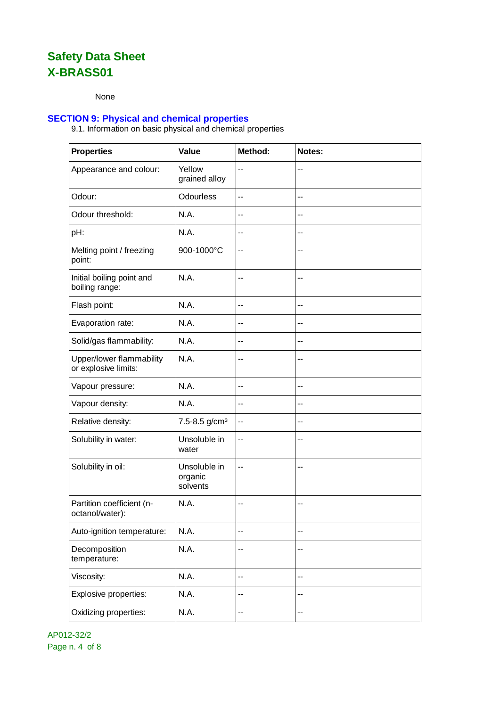None

### **SECTION 9: Physical and chemical properties**

9.1. Information on basic physical and chemical properties

| <b>Properties</b>                                | Value                               | Method: | Notes: |
|--------------------------------------------------|-------------------------------------|---------|--------|
| Appearance and colour:                           | Yellow<br>grained alloy             | --      | $-$    |
| Odour:                                           | <b>Odourless</b>                    | $-$     | $-$    |
| Odour threshold:                                 | N.A.                                | --      | --     |
| pH:                                              | N.A.                                | $-$     | $-$    |
| Melting point / freezing<br>point:               | 900-1000°C                          | --      | --     |
| Initial boiling point and<br>boiling range:      | N.A.                                | $-$     | --     |
| Flash point:                                     | N.A.                                | $-$     | $-$    |
| Evaporation rate:                                | N.A.                                | --      | --     |
| Solid/gas flammability:                          | N.A.                                | $-$     | --     |
| Upper/lower flammability<br>or explosive limits: | N.A.                                | --      | --     |
| Vapour pressure:                                 | N.A.                                | $-$     | $-$    |
| Vapour density:                                  | N.A.                                | $-$     | --     |
| Relative density:                                | 7.5-8.5 g/cm <sup>3</sup>           | $-$     | $-$    |
| Solubility in water:                             | Unsoluble in<br>water               | --      | --     |
| Solubility in oil:                               | Unsoluble in<br>organic<br>solvents | --      | --     |
| Partition coefficient (n-<br>octanol/water):     | N.A.                                | $-$     | --     |
| Auto-ignition temperature:                       | N.A.                                | $-$     | --     |
| Decomposition<br>temperature:                    | N.A.                                | --      | $-$    |
| Viscosity:                                       | N.A.                                | --      | $-$    |
| Explosive properties:                            | N.A.                                | --      | --     |
| Oxidizing properties:                            | N.A.                                | --      | $-$    |

AP012-32/2 Page n. 4 of 8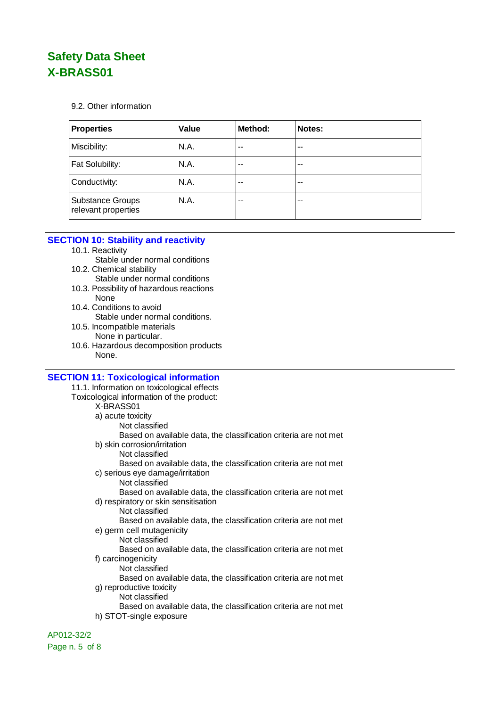9.2. Other information

| <b>Properties</b>                              | Value | Method: | Notes: |
|------------------------------------------------|-------|---------|--------|
| Miscibility:                                   | N.A.  | $-$     | $-$    |
| Fat Solubility:                                | N.A.  | $-$     | $-$    |
| Conductivity:                                  | N.A.  | --      | $-$    |
| <b>Substance Groups</b><br>relevant properties | N.A.  | --      | $-$    |

### **SECTION 10: Stability and reactivity**

- 10.1. Reactivity
	- Stable under normal conditions
- 10.2. Chemical stability Stable under normal conditions
- 10.3. Possibility of hazardous reactions None
- 10.4. Conditions to avoid Stable under normal conditions.
- 10.5. Incompatible materials None in particular.
- 10.6. Hazardous decomposition products None.

### **SECTION 11: Toxicological information**

11.1. Information on toxicological effects Toxicological information of the product: X-BRASS01 a) acute toxicity Not classified Based on available data, the classification criteria are not met b) skin corrosion/irritation Not classified Based on available data, the classification criteria are not met c) serious eye damage/irritation Not classified Based on available data, the classification criteria are not met d) respiratory or skin sensitisation Not classified Based on available data, the classification criteria are not met e) germ cell mutagenicity Not classified Based on available data, the classification criteria are not met f) carcinogenicity Not classified Based on available data, the classification criteria are not met g) reproductive toxicity Not classified Based on available data, the classification criteria are not met h) STOT-single exposure

AP012-32/2 Page n. 5 of 8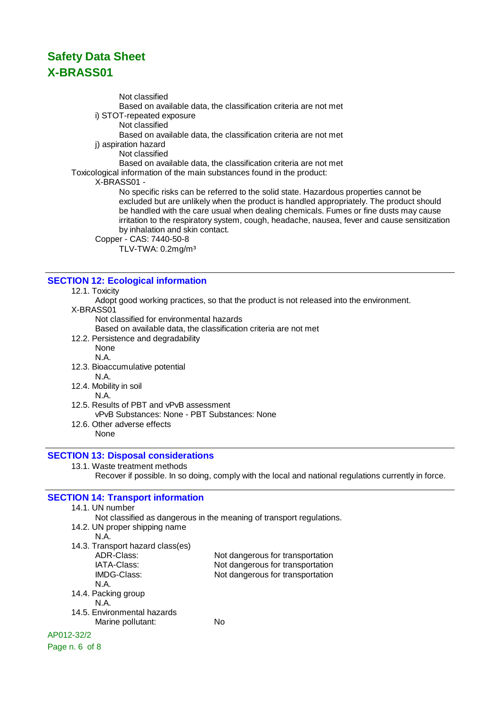Not classified

- Based on available data, the classification criteria are not met
- i) STOT-repeated exposure
	- Not classified

Based on available data, the classification criteria are not met

i) aspiration hazard

Not classified

Based on available data, the classification criteria are not met

Toxicological information of the main substances found in the product:

X-BRASS01 -

No specific risks can be referred to the solid state. Hazardous properties cannot be excluded but are unlikely when the product is handled appropriately. The product should be handled with the care usual when dealing chemicals. Fumes or fine dusts may cause irritation to the respiratory system, cough, headache, nausea, fever and cause sensitization by inhalation and skin contact.

Copper - CAS: 7440-50-8

TLV-TWA: 0.2mg/m³

### **SECTION 12: Ecological information**

#### 12.1. Toxicity

Adopt good working practices, so that the product is not released into the environment. X-BRASS01

Not classified for environmental hazards

Based on available data, the classification criteria are not met

12.2. Persistence and degradability

None N.A.

12.3. Bioaccumulative potential

N.A.

12.4. Mobility in soil

#### N.A.

- 12.5. Results of PBT and vPvB assessment
	- vPvB Substances: None PBT Substances: None
- 12.6. Other adverse effects

None

### **SECTION 13: Disposal considerations**

13.1. Waste treatment methods

Recover if possible. In so doing, comply with the local and national regulations currently in force.

## **SECTION 14: Transport information**

14.1. UN number Not classified as dangerous in the meaning of transport regulations. 14.2. UN proper shipping name N.A. 14.3. Transport hazard class(es) ADR-Class: Not dangerous for transportation<br>
IATA-Class: Not dangerous for transportation Not dangerous for transportation IMDG-Class: Not dangerous for transportation N.A. 14.4. Packing group N.A. 14.5. Environmental hazards Marine pollutant: No AP012-32/2 Page n. 6 of 8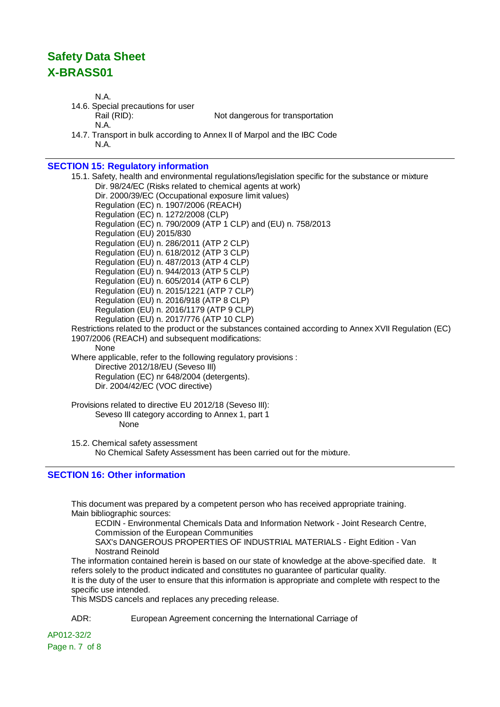N.A.

N.A. 14.6. Special precautions for user Rail (RID): Not dangerous for transportation N.A. 14.7. Transport in bulk according to Annex II of Marpol and the IBC Code

**SECTION 15: Regulatory information** 15.1. Safety, health and environmental regulations/legislation specific for the substance or mixture Dir. 98/24/EC (Risks related to chemical agents at work) Dir. 2000/39/EC (Occupational exposure limit values) Regulation (EC) n. 1907/2006 (REACH) Regulation (EC) n. 1272/2008 (CLP) Regulation (EC) n. 790/2009 (ATP 1 CLP) and (EU) n. 758/2013 Regulation (EU) 2015/830 Regulation (EU) n. 286/2011 (ATP 2 CLP) Regulation (EU) n. 618/2012 (ATP 3 CLP) Regulation (EU) n. 487/2013 (ATP 4 CLP) Regulation (EU) n. 944/2013 (ATP 5 CLP) Regulation (EU) n. 605/2014 (ATP 6 CLP) Regulation (EU) n. 2015/1221 (ATP 7 CLP) Regulation (EU) n. 2016/918 (ATP 8 CLP) Regulation (EU) n. 2016/1179 (ATP 9 CLP) Regulation (EU) n. 2017/776 (ATP 10 CLP) Restrictions related to the product or the substances contained according to Annex XVII Regulation (EC) 1907/2006 (REACH) and subsequent modifications: None Where applicable, refer to the following regulatory provisions : Directive 2012/18/EU (Seveso III) Regulation (EC) nr 648/2004 (detergents). Dir. 2004/42/EC (VOC directive)

Provisions related to directive EU 2012/18 (Seveso III): Seveso III category according to Annex 1, part 1 None

15.2. Chemical safety assessment No Chemical Safety Assessment has been carried out for the mixture.

## **SECTION 16: Other information**

This document was prepared by a competent person who has received appropriate training. Main bibliographic sources:

ECDIN - Environmental Chemicals Data and Information Network - Joint Research Centre, Commission of the European Communities

SAX's DANGEROUS PROPERTIES OF INDUSTRIAL MATERIALS - Eight Edition - Van Nostrand Reinold

The information contained herein is based on our state of knowledge at the above-specified date. It refers solely to the product indicated and constitutes no guarantee of particular quality. It is the duty of the user to ensure that this information is appropriate and complete with respect to the specific use intended.

This MSDS cancels and replaces any preceding release.

ADR: European Agreement concerning the International Carriage of

AP012-32/2 Page n. 7 of 8